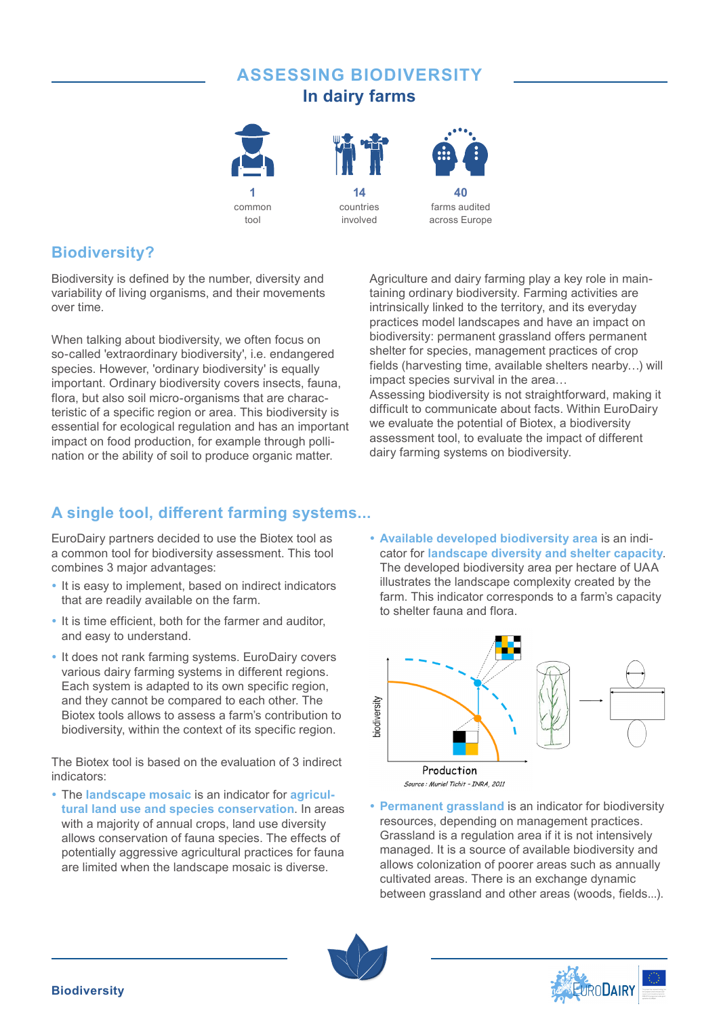# **ASSESSING BIODIVERSITY In dairy farms**

**14** countries involved





**40** farms audited across Europe

# **Biodiversity?**

Biodiversity is defined by the number, diversity and variability of living organisms, and their movements over time.

When talking about biodiversity, we often focus on so-called 'extraordinary biodiversity', i.e. endangered species. However, 'ordinary biodiversity' is equally important. Ordinary biodiversity covers insects, fauna, flora, but also soil micro-organisms that are characteristic of a specific region or area. This biodiversity is essential for ecological regulation and has an important impact on food production, for example through pollination or the ability of soil to produce organic matter.

Agriculture and dairy farming play a key role in maintaining ordinary biodiversity. Farming activities are intrinsically linked to the territory, and its everyday practices model landscapes and have an impact on biodiversity: permanent grassland offers permanent shelter for species, management practices of crop fields (harvesting time, available shelters nearby…) will impact species survival in the area… Assessing biodiversity is not straightforward, making it difficult to communicate about facts. Within EuroDairy we evaluate the potential of Biotex, a biodiversity assessment tool, to evaluate the impact of different dairy farming systems on biodiversity.

# **A single tool, different farming systems...**

EuroDairy partners decided to use the Biotex tool as a common tool for biodiversity assessment. This tool combines 3 major advantages:

- It is easy to implement, based on indirect indicators that are readily available on the farm.
- It is time efficient, both for the farmer and auditor, and easy to understand.
- It does not rank farming systems. EuroDairy covers various dairy farming systems in different regions. Each system is adapted to its own specific region, and they cannot be compared to each other. The Biotex tools allows to assess a farm's contribution to biodiversity, within the context of its specific region.

The Biotex tool is based on the evaluation of 3 indirect indicators:

• The **landscape mosaic** is an indicator for **agricultural land use and species conservation**. In areas with a majority of annual crops, land use diversity allows conservation of fauna species. The effects of potentially aggressive agricultural practices for fauna are limited when the landscape mosaic is diverse.

**• Available developed biodiversity area** is an indicator for **landscape diversity and shelter capacity**. The developed biodiversity area per hectare of UAA illustrates the landscape complexity created by the farm. This indicator corresponds to a farm's capacity to shelter fauna and flora.



**• Permanent grassland** is an indicator for biodiversity resources, depending on management practices. Grassland is a regulation area if it is not intensively managed. It is a source of available biodiversity and allows colonization of poorer areas such as annually cultivated areas. There is an exchange dynamic between grassland and other areas (woods, fields...).